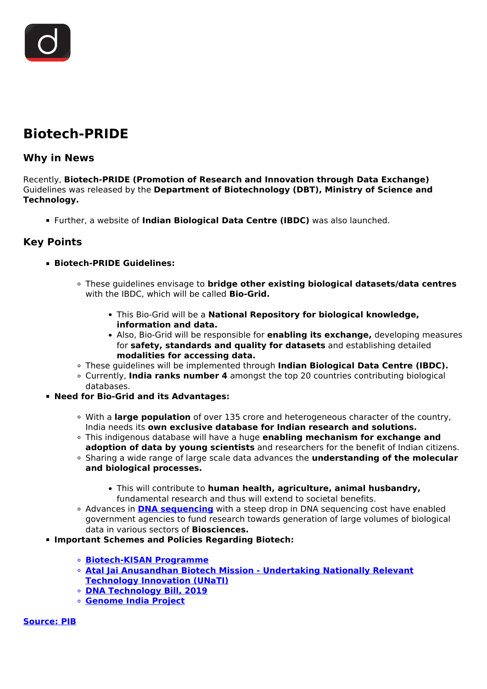## **Biotech-PRIDE**

## **Why in News**

Recently, **Biotech-PRIDE (Promotion of Research and Innovation through Data Exchange)** Guidelines was released by the **Department of Biotechnology (DBT), Ministry of Science and Technology.**

Further, a website of **Indian Biological Data Centre (IBDC)** was also launched.

## **Key Points**

## **Biotech-PRIDE Guidelines:**

- These guidelines envisage to **bridge other existing biological datasets/data centres** with the IBDC, which will be called **Bio-Grid.**
	- This Bio-Grid will be a **National Repository for biological knowledge, information and data.**
	- Also, Bio-Grid will be responsible for **enabling its exchange,** developing measures for **safety, standards and quality for datasets** and establishing detailed **modalities for accessing data.**
- These guidelines will be implemented through **Indian Biological Data Centre (IBDC).**
- Currently, **India ranks number 4** amongst the top 20 countries contributing biological databases.
- **Need for Bio-Grid and its Advantages:**
	- With a **large population** of over 135 crore and heterogeneous character of the country, India needs its **own exclusive database for Indian research and solutions.**
	- This indigenous database will have a huge **enabling mechanism for exchange and adoption of data by young scientists** and researchers for the benefit of Indian citizens.
	- Sharing a wide range of large scale data advances the **understanding of the molecular and biological processes.**
		- This will contribute to **human health, agriculture, animal husbandry,** fundamental research and thus will extend to societal benefits.
	- Advances in **[DNA sequencing](/loksabha-rajyasabha-discussions/in-depth-dna-technology-bill)** with a steep drop in DNA sequencing cost have enabled government agencies to fund research towards generation of large volumes of biological data in various sectors of **Biosciences.**
- **Important Schemes and Policies Regarding Biotech:** 
	- **[Biotech-KISAN Programme](https://pib.gov.in/PressReleasePage.aspx?PRID=1740712)**
	- **[Atal Jai Anusandhan Biotech Mission Undertaking Nationally Relevant](/to-the-points/Paper2/year-end-review-2019-ministry-of-science-technology) [Technology Innovation \(UNaTI\)](/to-the-points/Paper2/year-end-review-2019-ministry-of-science-technology)**
	- **[DNA Technology Bill, 2019](/loksabha-rajyasabha-discussions/in-depth-dna-technology-bill)**
	- **[Genome India Project](/daily-updates/daily-news-editorials/genome-india-project-1)**